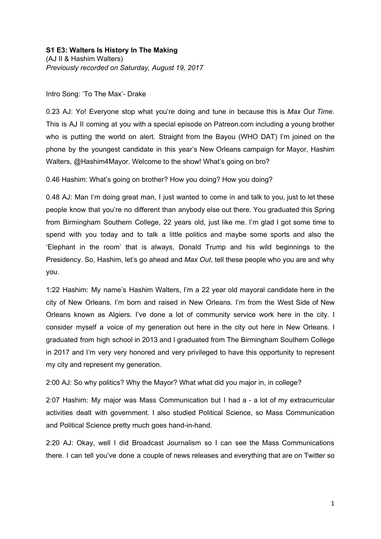Intro Song: 'To The Max'- Drake

0.23 AJ: Yo! Everyone stop what you're doing and tune in because this is *Max Out Time.* This is AJ II coming at you with a special episode on Patreon.com including a young brother who is putting the world on alert. Straight from the Bayou (WHO DAT) I'm joined on the phone by the youngest candidate in this year's New Orleans campaign for Mayor, Hashim Walters, @Hashim4Mayor. Welcome to the show! What's going on bro?

0.46 Hashim: What's going on brother? How you doing? How you doing?

0.48 AJ: Man I'm doing great man, I just wanted to come in and talk to you, just to let these people know that you're no different than anybody else out there. You graduated this Spring from Birmingham Southern College, 22 years old, just like me. I'm glad I got some time to spend with you today and to talk a little politics and maybe some sports and also the 'Elephant in the room' that is always, Donald Trump and his wild beginnings to the Presidency. So, Hashim, let's go ahead and *Max Out*, tell these people who you are and why you.

1:22 Hashim: My name's Hashim Walters, I'm a 22 year old mayoral candidate here in the city of New Orleans. I'm born and raised in New Orleans. I'm from the West Side of New Orleans known as Algiers. I've done a lot of community service work here in the city. I consider myself a voice of my generation out here in the city out here in New Orleans. I graduated from high school in 2013 and I graduated from The Birmingham Southern College in 2017 and I'm very very honored and very privileged to have this opportunity to represent my city and represent my generation.

2:00 AJ: So why politics? Why the Mayor? What what did you major in, in college?

2:07 Hashim: My major was Mass Communication but I had a - a lot of my extracurricular activities dealt with government. I also studied Political Science, so Mass Communication and Political Science pretty much goes hand-in-hand.

2:20 AJ: Okay, well I did Broadcast Journalism so I can see the Mass Communications there. I can tell you've done a couple of news releases and everything that are on Twitter so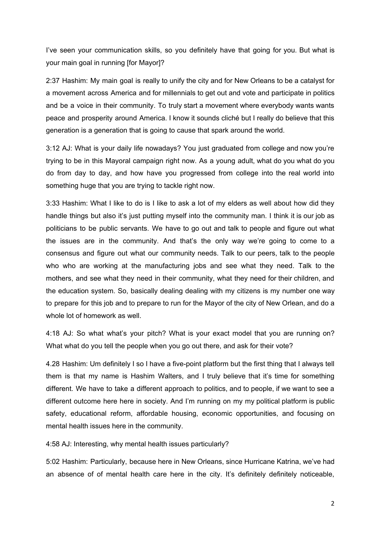I've seen your communication skills, so you definitely have that going for you. But what is your main goal in running [for Mayor]?

2:37 Hashim: My main goal is really to unify the city and for New Orleans to be a catalyst for a movement across America and for millennials to get out and vote and participate in politics and be a voice in their community. To truly start a movement where everybody wants wants peace and prosperity around America. I know it sounds cliché but I really do believe that this generation is a generation that is going to cause that spark around the world.

3:12 AJ: What is your daily life nowadays? You just graduated from college and now you're trying to be in this Mayoral campaign right now. As a young adult, what do you what do you do from day to day, and how have you progressed from college into the real world into something huge that you are trying to tackle right now.

3:33 Hashim: What I like to do is I like to ask a lot of my elders as well about how did they handle things but also it's just putting myself into the community man. I think it is our job as politicians to be public servants. We have to go out and talk to people and figure out what the issues are in the community. And that's the only way we're going to come to a consensus and figure out what our community needs. Talk to our peers, talk to the people who who are working at the manufacturing jobs and see what they need. Talk to the mothers, and see what they need in their community, what they need for their children, and the education system. So, basically dealing dealing with my citizens is my number one way to prepare for this job and to prepare to run for the Mayor of the city of New Orlean, and do a whole lot of homework as well.

4:18 AJ: So what what's your pitch? What is your exact model that you are running on? What what do you tell the people when you go out there, and ask for their vote?

4.28 Hashim: Um definitely I so I have a five-point platform but the first thing that I always tell them is that my name is Hashim Walters, and I truly believe that it's time for something different. We have to take a different approach to politics, and to people, if we want to see a different outcome here here in society. And I'm running on my my political platform is public safety, educational reform, affordable housing, economic opportunities, and focusing on mental health issues here in the community.

4:58 AJ: Interesting, why mental health issues particularly?

5:02 Hashim: Particularly, because here in New Orleans, since Hurricane Katrina, we've had an absence of of mental health care here in the city. It's definitely definitely noticeable,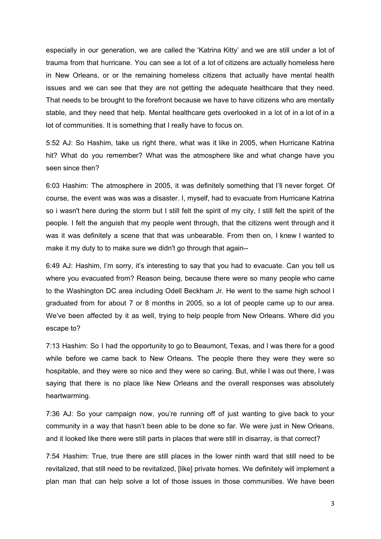especially in our generation, we are called the 'Katrina Kitty' and we are still under a lot of trauma from that hurricane. You can see a lot of a lot of citizens are actually homeless here in New Orleans, or or the remaining homeless citizens that actually have mental health issues and we can see that they are not getting the adequate healthcare that they need. That needs to be brought to the forefront because we have to have citizens who are mentally stable, and they need that help. Mental healthcare gets overlooked in a lot of in a lot of in a lot of communities. It is something that I really have to focus on.

5:52 AJ: So Hashim, take us right there, what was it like in 2005, when Hurricane Katrina hit? What do you remember? What was the atmosphere like and what change have you seen since then?

6:03 Hashim: The atmosphere in 2005, it was definitely something that I'll never forget. Of course, the event was was was a disaster. I, myself, had to evacuate from Hurricane Katrina so i wasn't here during the storm but I still felt the spirit of my city, I still felt the spirit of the people. I felt the anguish that my people went through, that the citizens went through and it was it was definitely a scene that that was unbearable. From then on, I knew I wanted to make it my duty to to make sure we didn't go through that again--

6:49 AJ: Hashim, I'm sorry, it's interesting to say that you had to evacuate. Can you tell us where you evacuated from? Reason being, because there were so many people who came to the Washington DC area including Odell Beckham Jr. He went to the same high school I graduated from for about 7 or 8 months in 2005, so a lot of people came up to our area. We've been affected by it as well, trying to help people from New Orleans. Where did you escape to?

7:13 Hashim: So I had the opportunity to go to Beaumont, Texas, and I was there for a good while before we came back to New Orleans. The people there they were they were so hospitable, and they were so nice and they were so caring. But, while I was out there, I was saying that there is no place like New Orleans and the overall responses was absolutely heartwarming.

7:36 AJ: So your campaign now, you're running off of just wanting to give back to your community in a way that hasn't been able to be done so far. We were just in New Orleans, and it looked like there were still parts in places that were still in disarray, is that correct?

7:54 Hashim: True, true there are still places in the lower ninth ward that still need to be revitalized, that still need to be revitalized, [like] private homes. We definitely will implement a plan man that can help solve a lot of those issues in those communities. We have been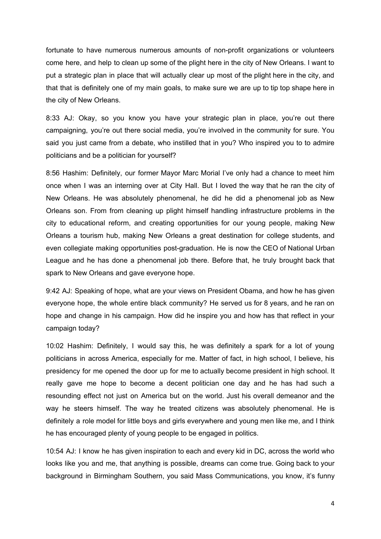fortunate to have numerous numerous amounts of non-profit organizations or volunteers come here, and help to clean up some of the plight here in the city of New Orleans. I want to put a strategic plan in place that will actually clear up most of the plight here in the city, and that that is definitely one of my main goals, to make sure we are up to tip top shape here in the city of New Orleans.

8:33 AJ: Okay, so you know you have your strategic plan in place, you're out there campaigning, you're out there social media, you're involved in the community for sure. You said you just came from a debate, who instilled that in you? Who inspired you to to admire politicians and be a politician for yourself?

8:56 Hashim: Definitely, our former Mayor Marc Morial I've only had a chance to meet him once when I was an interning over at City Hall. But I loved the way that he ran the city of New Orleans. He was absolutely phenomenal, he did he did a phenomenal job as New Orleans son. From from cleaning up plight himself handling infrastructure problems in the city to educational reform, and creating opportunities for our young people, making New Orleans a tourism hub, making New Orleans a great destination for college students, and even collegiate making opportunities post-graduation. He is now the CEO of National Urban League and he has done a phenomenal job there. Before that, he truly brought back that spark to New Orleans and gave everyone hope.

9:42 AJ: Speaking of hope, what are your views on President Obama, and how he has given everyone hope, the whole entire black community? He served us for 8 years, and he ran on hope and change in his campaign. How did he inspire you and how has that reflect in your campaign today?

10:02 Hashim: Definitely, I would say this, he was definitely a spark for a lot of young politicians in across America, especially for me. Matter of fact, in high school, I believe, his presidency for me opened the door up for me to actually become president in high school. It really gave me hope to become a decent politician one day and he has had such a resounding effect not just on America but on the world. Just his overall demeanor and the way he steers himself. The way he treated citizens was absolutely phenomenal. He is definitely a role model for little boys and girls everywhere and young men like me, and I think he has encouraged plenty of young people to be engaged in politics.

10:54 AJ: I know he has given inspiration to each and every kid in DC, across the world who looks like you and me, that anything is possible, dreams can come true. Going back to your background in Birmingham Southern, you said Mass Communications, you know, it's funny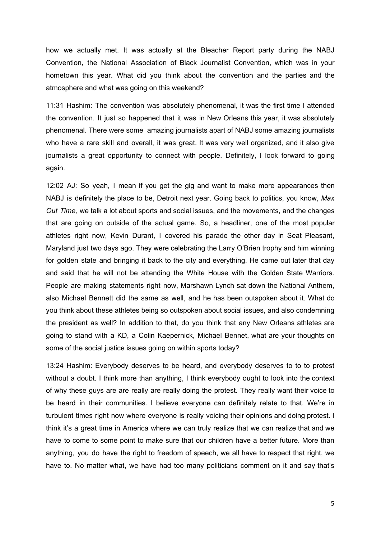how we actually met. It was actually at the Bleacher Report party during the NABJ Convention, the National Association of Black Journalist Convention, which was in your hometown this year. What did you think about the convention and the parties and the atmosphere and what was going on this weekend?

11:31 Hashim: The convention was absolutely phenomenal, it was the first time I attended the convention. It just so happened that it was in New Orleans this year, it was absolutely phenomenal. There were some amazing journalists apart of NABJ some amazing journalists who have a rare skill and overall, it was great. It was very well organized, and it also give journalists a great opportunity to connect with people. Definitely, I look forward to going again.

12:02 AJ: So yeah, I mean if you get the gig and want to make more appearances then NABJ is definitely the place to be, Detroit next year. Going back to politics, you know, *Max Out Time,* we talk a lot about sports and social issues, and the movements, and the changes that are going on outside of the actual game. So, a headliner, one of the most popular athletes right now, Kevin Durant, I covered his parade the other day in Seat Pleasant, Maryland just two days ago. They were celebrating the Larry O'Brien trophy and him winning for golden state and bringing it back to the city and everything. He came out later that day and said that he will not be attending the White House with the Golden State Warriors. People are making statements right now, Marshawn Lynch sat down the National Anthem, also Michael Bennett did the same as well, and he has been outspoken about it. What do you think about these athletes being so outspoken about social issues, and also condemning the president as well? In addition to that, do you think that any New Orleans athletes are going to stand with a KD, a Colin Kaepernick, Michael Bennet, what are your thoughts on some of the social justice issues going on within sports today?

13:24 Hashim: Everybody deserves to be heard, and everybody deserves to to to protest without a doubt. I think more than anything, I think everybody ought to look into the context of why these guys are are really are really doing the protest. They really want their voice to be heard in their communities. I believe everyone can definitely relate to that. We're in turbulent times right now where everyone is really voicing their opinions and doing protest. I think it's a great time in America where we can truly realize that we can realize that and we have to come to some point to make sure that our children have a better future. More than anything, you do have the right to freedom of speech, we all have to respect that right, we have to. No matter what, we have had too many politicians comment on it and say that's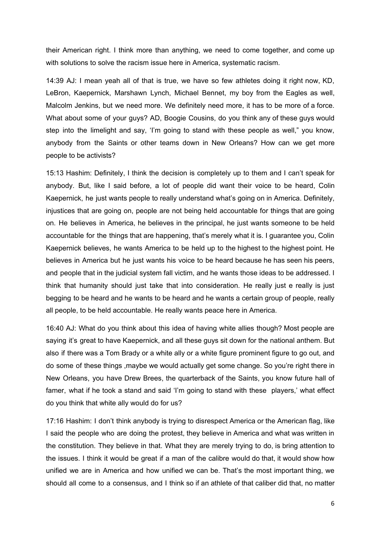their American right. I think more than anything, we need to come together, and come up with solutions to solve the racism issue here in America, systematic racism.

14:39 AJ: I mean yeah all of that is true, we have so few athletes doing it right now, KD, LeBron, Kaepernick, Marshawn Lynch, Michael Bennet, my boy from the Eagles as well, Malcolm Jenkins, but we need more. We definitely need more, it has to be more of a force. What about some of your guys? AD, Boogie Cousins, do you think any of these guys would step into the limelight and say, 'I'm going to stand with these people as well," you know, anybody from the Saints or other teams down in New Orleans? How can we get more people to be activists?

15:13 Hashim: Definitely, I think the decision is completely up to them and I can't speak for anybody. But, like I said before, a lot of people did want their voice to be heard, Colin Kaepernick, he just wants people to really understand what's going on in America. Definitely, injustices that are going on, people are not being held accountable for things that are going on. He believes in America, he believes in the principal, he just wants someone to be held accountable for the things that are happening, that's merely what it is. I guarantee you, Colin Kaepernick believes, he wants America to be held up to the highest to the highest point. He believes in America but he just wants his voice to be heard because he has seen his peers, and people that in the judicial system fall victim, and he wants those ideas to be addressed. I think that humanity should just take that into consideration. He really just e really is just begging to be heard and he wants to be heard and he wants a certain group of people, really all people, to be held accountable. He really wants peace here in America.

16:40 AJ: What do you think about this idea of having white allies though? Most people are saying it's great to have Kaepernick, and all these guys sit down for the national anthem. But also if there was a Tom Brady or a white ally or a white figure prominent figure to go out, and do some of these things ,maybe we would actually get some change. So you're right there in New Orleans, you have Drew Brees, the quarterback of the Saints, you know future hall of famer, what if he took a stand and said 'I'm going to stand with these players,' what effect do you think that white ally would do for us?

17:16 Hashim: I don't think anybody is trying to disrespect America or the American flag, like I said the people who are doing the protest, they believe in America and what was written in the constitution. They believe in that. What they are merely trying to do, is bring attention to the issues. I think it would be great if a man of the calibre would do that, it would show how unified we are in America and how unified we can be. That's the most important thing, we should all come to a consensus, and I think so if an athlete of that caliber did that, no matter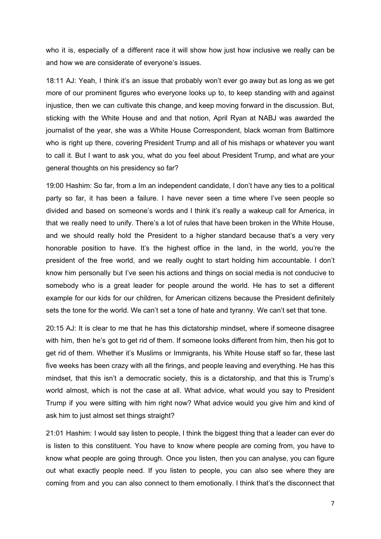who it is, especially of a different race it will show how just how inclusive we really can be and how we are considerate of everyone's issues.

18:11 AJ: Yeah, I think it's an issue that probably won't ever go away but as long as we get more of our prominent figures who everyone looks up to, to keep standing with and against injustice, then we can cultivate this change, and keep moving forward in the discussion. But, sticking with the White House and and that notion, April Ryan at NABJ was awarded the journalist of the year, she was a White House Correspondent, black woman from Baltimore who is right up there, covering President Trump and all of his mishaps or whatever you want to call it. But I want to ask you, what do you feel about President Trump, and what are your general thoughts on his presidency so far?

19:00 Hashim: So far, from a Im an independent candidate, I don't have any ties to a political party so far, it has been a failure. I have never seen a time where I've seen people so divided and based on someone's words and I think it's really a wakeup call for America, in that we really need to unify. There's a lot of rules that have been broken in the White House, and we should really hold the President to a higher standard because that's a very very honorable position to have. It's the highest office in the land, in the world, you're the president of the free world, and we really ought to start holding him accountable. I don't know him personally but I've seen his actions and things on social media is not conducive to somebody who is a great leader for people around the world. He has to set a different example for our kids for our children, for American citizens because the President definitely sets the tone for the world. We can't set a tone of hate and tyranny. We can't set that tone.

20:15 AJ: It is clear to me that he has this dictatorship mindset, where if someone disagree with him, then he's got to get rid of them. If someone looks different from him, then his got to get rid of them. Whether it's Muslims or Immigrants, his White House staff so far, these last five weeks has been crazy with all the firings, and people leaving and everything. He has this mindset, that this isn't a democratic society, this is a dictatorship, and that this is Trump's world almost, which is not the case at all. What advice, what would you say to President Trump if you were sitting with him right now? What advice would you give him and kind of ask him to just almost set things straight?

21:01 Hashim: I would say listen to people, I think the biggest thing that a leader can ever do is listen to this constituent. You have to know where people are coming from, you have to know what people are going through. Once you listen, then you can analyse, you can figure out what exactly people need. If you listen to people, you can also see where they are coming from and you can also connect to them emotionally. I think that's the disconnect that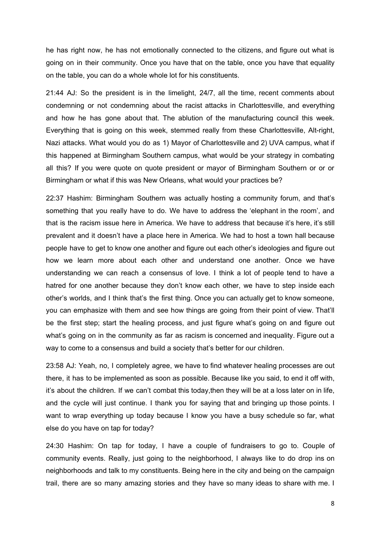he has right now, he has not emotionally connected to the citizens, and figure out what is going on in their community. Once you have that on the table, once you have that equality on the table, you can do a whole whole lot for his constituents.

21:44 AJ: So the president is in the limelight, 24/7, all the time, recent comments about condemning or not condemning about the racist attacks in Charlottesville, and everything and how he has gone about that. The ablution of the manufacturing council this week. Everything that is going on this week, stemmed really from these Charlottesville, Alt-right, Nazi attacks. What would you do as 1) Mayor of Charlottesville and 2) UVA campus, what if this happened at Birmingham Southern campus, what would be your strategy in combating all this? If you were quote on quote president or mayor of Birmingham Southern or or or Birmingham or what if this was New Orleans, what would your practices be?

22:37 Hashim: Birmingham Southern was actually hosting a community forum, and that's something that you really have to do. We have to address the 'elephant in the room', and that is the racism issue here in America. We have to address that because it's here, it's still prevalent and it doesn't have a place here in America. We had to host a town hall because people have to get to know one another and figure out each other's ideologies and figure out how we learn more about each other and understand one another. Once we have understanding we can reach a consensus of love. I think a lot of people tend to have a hatred for one another because they don't know each other, we have to step inside each other's worlds, and I think that's the first thing. Once you can actually get to know someone, you can emphasize with them and see how things are going from their point of view. That'll be the first step; start the healing process, and just figure what's going on and figure out what's going on in the community as far as racism is concerned and inequality. Figure out a way to come to a consensus and build a society that's better for our children.

23:58 AJ: Yeah, no, I completely agree, we have to find whatever healing processes are out there, it has to be implemented as soon as possible. Because like you said, to end it off with, it's about the children. If we can't combat this today,then they will be at a loss later on in life, and the cycle will just continue. I thank you for saying that and bringing up those points. I want to wrap everything up today because I know you have a busy schedule so far, what else do you have on tap for today?

24:30 Hashim: On tap for today, I have a couple of fundraisers to go to. Couple of community events. Really, just going to the neighborhood, I always like to do drop ins on neighborhoods and talk to my constituents. Being here in the city and being on the campaign trail, there are so many amazing stories and they have so many ideas to share with me. I